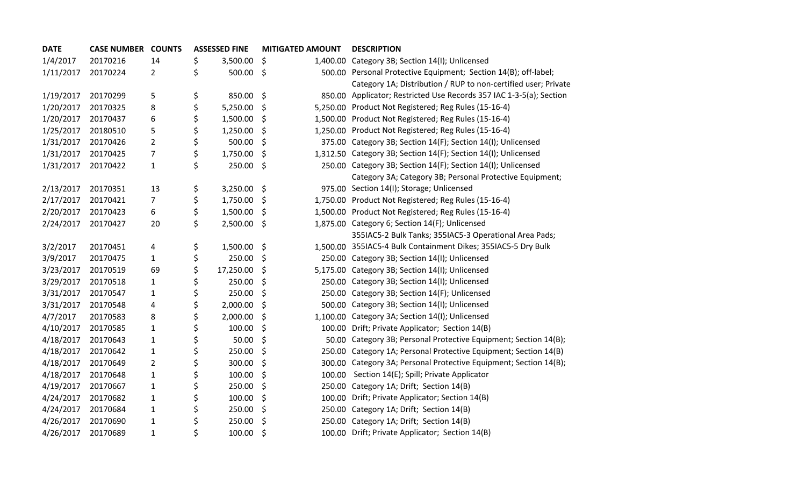| <b>DATE</b> | <b>CASE NUMBER COUNTS</b> |                | <b>ASSESSED FINE</b> | <b>MITIGATED AMOUNT</b> | <b>DESCRIPTION</b>                                                  |
|-------------|---------------------------|----------------|----------------------|-------------------------|---------------------------------------------------------------------|
| 1/4/2017    | 20170216                  | 14             | \$<br>3,500.00       | \$                      | 1,400.00 Category 3B; Section 14(I); Unlicensed                     |
| 1/11/2017   | 20170224                  | $\overline{2}$ | \$<br>500.00         | \$                      | 500.00 Personal Protective Equipment; Section 14(B); off-label;     |
|             |                           |                |                      |                         | Category 1A; Distribution / RUP to non-certified user; Private      |
| 1/19/2017   | 20170299                  | 5              | \$<br>850.00         | \$                      | 850.00 Applicator; Restricted Use Records 357 IAC 1-3-5(a); Section |
| 1/20/2017   | 20170325                  | 8              | \$<br>5,250.00       | \$                      | 5,250.00 Product Not Registered; Reg Rules (15-16-4)                |
| 1/20/2017   | 20170437                  | 6              | \$<br>1,500.00       | \$                      | 1,500.00 Product Not Registered; Reg Rules (15-16-4)                |
| 1/25/2017   | 20180510                  | 5              | \$<br>1,250.00       | \$                      | 1,250.00 Product Not Registered; Reg Rules (15-16-4)                |
| 1/31/2017   | 20170426                  | $\overline{2}$ | \$<br>500.00         | \$                      | 375.00 Category 3B; Section 14(F); Section 14(I); Unlicensed        |
| 1/31/2017   | 20170425                  | $\overline{7}$ | \$<br>1,750.00       | \$                      | 1,312.50 Category 3B; Section 14(F); Section 14(I); Unlicensed      |
| 1/31/2017   | 20170422                  | $\mathbf{1}$   | \$<br>250.00         | \$                      | 250.00 Category 3B; Section 14(F); Section 14(I); Unlicensed        |
|             |                           |                |                      |                         | Category 3A; Category 3B; Personal Protective Equipment;            |
| 2/13/2017   | 20170351                  | 13             | \$<br>3,250.00       | \$                      | 975.00 Section 14(I); Storage; Unlicensed                           |
| 2/17/2017   | 20170421                  | $\overline{7}$ | \$<br>1,750.00       | \$                      | 1,750.00 Product Not Registered; Reg Rules (15-16-4)                |
| 2/20/2017   | 20170423                  | 6              | \$<br>1,500.00       | \$                      | 1,500.00 Product Not Registered; Reg Rules (15-16-4)                |
| 2/24/2017   | 20170427                  | 20             | \$<br>2,500.00       | \$                      | 1,875.00 Category 6; Section 14(F); Unlicensed                      |
|             |                           |                |                      |                         | 355IAC5-2 Bulk Tanks; 355IAC5-3 Operational Area Pads;              |
| 3/2/2017    | 20170451                  | 4              | \$<br>1,500.00       | \$                      | 1,500.00 355IAC5-4 Bulk Containment Dikes; 355IAC5-5 Dry Bulk       |
| 3/9/2017    | 20170475                  | $\mathbf{1}$   | \$<br>250.00         | \$                      | 250.00 Category 3B; Section 14(I); Unlicensed                       |
| 3/23/2017   | 20170519                  | 69             | \$<br>17,250.00      | \$                      | 5,175.00 Category 3B; Section 14(I); Unlicensed                     |
| 3/29/2017   | 20170518                  | $\mathbf{1}$   | \$<br>250.00         | \$                      | 250.00 Category 3B; Section 14(I); Unlicensed                       |
| 3/31/2017   | 20170547                  | $\mathbf{1}$   | \$<br>250.00         | \$                      | 250.00 Category 3B; Section 14(F); Unlicensed                       |
| 3/31/2017   | 20170548                  | 4              | \$<br>2,000.00       | \$                      | 500.00 Category 3B; Section 14(I); Unlicensed                       |
| 4/7/2017    | 20170583                  | 8              | \$<br>2,000.00       | \$                      | 1,100.00 Category 3A; Section 14(I); Unlicensed                     |
| 4/10/2017   | 20170585                  | $\mathbf{1}$   | \$<br>100.00         | \$                      | 100.00 Drift; Private Applicator; Section 14(B)                     |
| 4/18/2017   | 20170643                  | $\mathbf{1}$   | \$<br>50.00          | \$                      | 50.00 Category 3B; Personal Protective Equipment; Section 14(B);    |
| 4/18/2017   | 20170642                  | $\mathbf{1}$   | \$<br>250.00         | \$                      | 250.00 Category 1A; Personal Protective Equipment; Section 14(B)    |
| 4/18/2017   | 20170649                  | $\overline{2}$ | \$<br>300.00         | \$                      | 300.00 Category 3A; Personal Protective Equipment; Section 14(B);   |
| 4/18/2017   | 20170648                  | $\mathbf 1$    | \$<br>100.00         | \$<br>100.00            | Section 14(E); Spill; Private Applicator                            |
| 4/19/2017   | 20170667                  | $\mathbf{1}$   | \$<br>250.00         | \$                      | 250.00 Category 1A; Drift; Section 14(B)                            |
| 4/24/2017   | 20170682                  | $\mathbf{1}$   | \$<br>100.00         | \$                      | 100.00 Drift; Private Applicator; Section 14(B)                     |
| 4/24/2017   | 20170684                  | $\mathbf{1}$   | \$<br>250.00         | \$                      | 250.00 Category 1A; Drift; Section 14(B)                            |
| 4/26/2017   | 20170690                  | $\mathbf{1}$   | \$<br>250.00         | \$                      | 250.00 Category 1A; Drift; Section 14(B)                            |
| 4/26/2017   | 20170689                  | $\mathbf{1}$   | \$<br>100.00         | \$                      | 100.00 Drift; Private Applicator; Section 14(B)                     |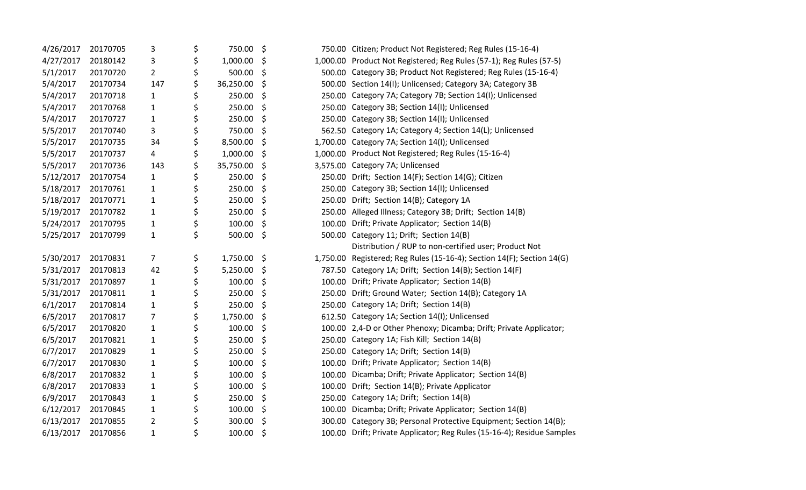| 4/26/2017 | 20170705 | 3              | \$<br>750.00    | \$ | 750.00 Citizen; Product Not Registered; Reg Rules (15-16-4)            |
|-----------|----------|----------------|-----------------|----|------------------------------------------------------------------------|
| 4/27/2017 | 20180142 | 3              | \$<br>1,000.00  | \$ | 1,000.00 Product Not Registered; Reg Rules (57-1); Reg Rules (57-5)    |
| 5/1/2017  | 20170720 | $\overline{2}$ | \$<br>500.00    | \$ | 500.00 Category 3B; Product Not Registered; Reg Rules (15-16-4)        |
| 5/4/2017  | 20170734 | 147            | \$<br>36,250.00 | \$ | 500.00 Section 14(I); Unlicensed; Category 3A; Category 3B             |
| 5/4/2017  | 20170718 | $\mathbf{1}$   | \$<br>250.00    | \$ | 250.00 Category 7A; Category 7B; Section 14(I); Unlicensed             |
| 5/4/2017  | 20170768 | 1              | \$<br>250.00    | \$ | 250.00 Category 3B; Section 14(I); Unlicensed                          |
| 5/4/2017  | 20170727 | $\mathbf{1}$   | \$<br>250.00    | \$ | 250.00 Category 3B; Section 14(I); Unlicensed                          |
| 5/5/2017  | 20170740 | 3              | \$<br>750.00    | \$ | 562.50 Category 1A; Category 4; Section 14(L); Unlicensed              |
| 5/5/2017  | 20170735 | 34             | \$<br>8,500.00  | \$ | 1,700.00 Category 7A; Section 14(I); Unlicensed                        |
| 5/5/2017  | 20170737 | 4              | \$<br>1,000.00  | \$ | 1,000.00 Product Not Registered; Reg Rules (15-16-4)                   |
| 5/5/2017  | 20170736 | 143            | \$<br>35,750.00 | \$ | 3,575.00 Category 7A; Unlicensed                                       |
| 5/12/2017 | 20170754 | $\mathbf{1}$   | \$<br>250.00    | \$ | 250.00 Drift; Section 14(F); Section 14(G); Citizen                    |
| 5/18/2017 | 20170761 | $\mathbf{1}$   | \$<br>250.00    | \$ | 250.00 Category 3B; Section 14(I); Unlicensed                          |
| 5/18/2017 | 20170771 | $\mathbf{1}$   | \$<br>250.00    | \$ | 250.00 Drift; Section 14(B); Category 1A                               |
| 5/19/2017 | 20170782 | 1              | \$<br>250.00    | \$ | 250.00 Alleged Illness; Category 3B; Drift; Section 14(B)              |
| 5/24/2017 | 20170795 | $\mathbf{1}$   | \$<br>100.00    | \$ | 100.00 Drift; Private Applicator; Section 14(B)                        |
| 5/25/2017 | 20170799 | $\mathbf{1}$   | \$<br>500.00    | \$ | 500.00 Category 11; Drift; Section 14(B)                               |
|           |          |                |                 |    | Distribution / RUP to non-certified user; Product Not                  |
| 5/30/2017 | 20170831 | $\overline{7}$ | \$<br>1,750.00  | \$ | 1,750.00 Registered; Reg Rules (15-16-4); Section 14(F); Section 14(G) |
| 5/31/2017 | 20170813 | 42             | \$<br>5,250.00  | \$ | 787.50 Category 1A; Drift; Section 14(B); Section 14(F)                |
| 5/31/2017 | 20170897 | 1              | \$<br>100.00    | \$ | 100.00 Drift; Private Applicator; Section 14(B)                        |
| 5/31/2017 | 20170811 | 1              | \$<br>250.00    | \$ | 250.00 Drift; Ground Water; Section 14(B); Category 1A                 |
| 6/1/2017  | 20170814 | 1              | \$<br>250.00    | \$ | 250.00 Category 1A; Drift; Section 14(B)                               |
| 6/5/2017  | 20170817 | 7              | \$<br>1,750.00  | \$ | 612.50 Category 1A; Section 14(I); Unlicensed                          |
| 6/5/2017  | 20170820 | $\mathbf{1}$   | \$<br>100.00    | \$ | 100.00 2,4-D or Other Phenoxy; Dicamba; Drift; Private Applicator;     |
| 6/5/2017  | 20170821 | $\mathbf{1}$   | \$<br>250.00    | \$ | 250.00 Category 1A; Fish Kill; Section 14(B)                           |
| 6/7/2017  | 20170829 | 1              | \$<br>250.00    | \$ | 250.00 Category 1A; Drift; Section 14(B)                               |
| 6/7/2017  | 20170830 | 1              | \$<br>100.00    | \$ | 100.00 Drift; Private Applicator; Section 14(B)                        |
| 6/8/2017  | 20170832 | $\mathbf{1}$   | \$<br>100.00    | \$ | 100.00 Dicamba; Drift; Private Applicator; Section 14(B)               |
| 6/8/2017  | 20170833 | $\mathbf{1}$   | \$<br>100.00    | \$ | 100.00 Drift; Section 14(B); Private Applicator                        |
| 6/9/2017  | 20170843 | $\mathbf{1}$   | \$<br>250.00    | \$ | 250.00 Category 1A; Drift; Section 14(B)                               |
| 6/12/2017 | 20170845 | $\mathbf{1}$   | \$<br>100.00    | \$ | 100.00 Dicamba; Drift; Private Applicator; Section 14(B)               |
| 6/13/2017 | 20170855 | $\overline{2}$ | \$<br>300.00    | \$ | 300.00 Category 3B; Personal Protective Equipment; Section 14(B);      |
| 6/13/2017 | 20170856 | $\mathbf{1}$   | \$<br>100.00    | \$ | 100.00 Drift; Private Applicator; Reg Rules (15-16-4); Residue Samples |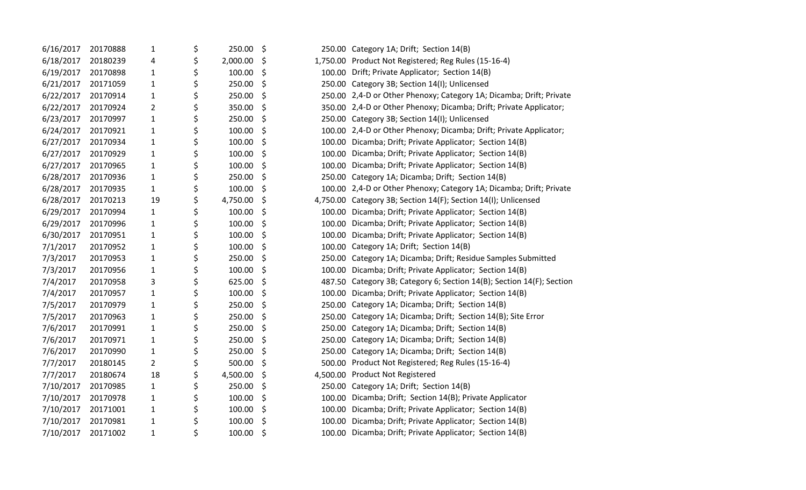| 6/16/2017 | 20170888 | $\mathbf{1}$   | \$<br>250.00   | \$           | 250.00 Category 1A; Drift; Section 14(B)                              |
|-----------|----------|----------------|----------------|--------------|-----------------------------------------------------------------------|
| 6/18/2017 | 20180239 | 4              | \$<br>2,000.00 | \$           | 1,750.00 Product Not Registered; Reg Rules (15-16-4)                  |
| 6/19/2017 | 20170898 | $\mathbf{1}$   | \$<br>100.00   | \$           | 100.00 Drift; Private Applicator; Section 14(B)                       |
| 6/21/2017 | 20171059 | 1              | \$<br>250.00   | \$           | 250.00 Category 3B; Section 14(I); Unlicensed                         |
| 6/22/2017 | 20170914 | $\mathbf{1}$   | \$<br>250.00   | \$           | 250.00 2,4-D or Other Phenoxy; Category 1A; Dicamba; Drift; Private   |
| 6/22/2017 | 20170924 | $\overline{2}$ | \$<br>350.00   | \$           | 350.00 2,4-D or Other Phenoxy; Dicamba; Drift; Private Applicator;    |
| 6/23/2017 | 20170997 | $\mathbf{1}$   | \$<br>250.00   | \$           | 250.00 Category 3B; Section 14(I); Unlicensed                         |
| 6/24/2017 | 20170921 | $\mathbf{1}$   | \$<br>100.00   | \$           | 100.00 2,4-D or Other Phenoxy; Dicamba; Drift; Private Applicator;    |
| 6/27/2017 | 20170934 | $\mathbf{1}$   | \$<br>100.00   | \$<br>100.00 | Dicamba; Drift; Private Applicator; Section 14(B)                     |
| 6/27/2017 | 20170929 | $\mathbf{1}$   | \$<br>100.00   | \$           | 100.00 Dicamba; Drift; Private Applicator; Section 14(B)              |
| 6/27/2017 | 20170965 | $\mathbf{1}$   | \$<br>100.00   | \$           | 100.00 Dicamba; Drift; Private Applicator; Section 14(B)              |
| 6/28/2017 | 20170936 | $\mathbf{1}$   | \$<br>250.00   | \$           | 250.00 Category 1A; Dicamba; Drift; Section 14(B)                     |
| 6/28/2017 | 20170935 | $\mathbf{1}$   | \$<br>100.00   | \$           | 100.00 2,4-D or Other Phenoxy; Category 1A; Dicamba; Drift; Private   |
| 6/28/2017 | 20170213 | 19             | \$<br>4,750.00 | \$           | 4,750.00 Category 3B; Section 14(F); Section 14(I); Unlicensed        |
| 6/29/2017 | 20170994 | $\mathbf{1}$   | \$<br>100.00   | \$           | 100.00 Dicamba; Drift; Private Applicator; Section 14(B)              |
| 6/29/2017 | 20170996 | $\mathbf{1}$   | \$<br>100.00   | \$           | 100.00 Dicamba; Drift; Private Applicator; Section 14(B)              |
| 6/30/2017 | 20170951 | $\mathbf{1}$   | \$<br>100.00   | \$           | 100.00 Dicamba; Drift; Private Applicator; Section 14(B)              |
| 7/1/2017  | 20170952 | $\mathbf{1}$   | \$<br>100.00   | \$           | 100.00 Category 1A; Drift; Section 14(B)                              |
| 7/3/2017  | 20170953 | $\mathbf{1}$   | \$<br>250.00   | \$           | 250.00 Category 1A; Dicamba; Drift; Residue Samples Submitted         |
| 7/3/2017  | 20170956 | $\mathbf{1}$   | \$<br>100.00   | \$           | 100.00 Dicamba; Drift; Private Applicator; Section 14(B)              |
| 7/4/2017  | 20170958 | 3              | \$<br>625.00   | \$           | 487.50 Category 3B; Category 6; Section 14(B); Section 14(F); Section |
| 7/4/2017  | 20170957 | $\mathbf{1}$   | \$<br>100.00   | \$           | 100.00 Dicamba; Drift; Private Applicator; Section 14(B)              |
| 7/5/2017  | 20170979 | $\mathbf{1}$   | \$<br>250.00   | \$           | 250.00 Category 1A; Dicamba; Drift; Section 14(B)                     |
| 7/5/2017  | 20170963 | $\mathbf{1}$   | \$<br>250.00   | \$           | 250.00 Category 1A; Dicamba; Drift; Section 14(B); Site Error         |
| 7/6/2017  | 20170991 | $\mathbf{1}$   | \$<br>250.00   | \$           | 250.00 Category 1A; Dicamba; Drift; Section 14(B)                     |
| 7/6/2017  | 20170971 | $\mathbf{1}$   | \$<br>250.00   | \$           | 250.00 Category 1A; Dicamba; Drift; Section 14(B)                     |
| 7/6/2017  | 20170990 | $\mathbf{1}$   | \$<br>250.00   | \$           | 250.00 Category 1A; Dicamba; Drift; Section 14(B)                     |
| 7/7/2017  | 20180145 | $\overline{2}$ | \$<br>500.00   | \$           | 500.00 Product Not Registered; Reg Rules (15-16-4)                    |
| 7/7/2017  | 20180674 | 18             | \$<br>4,500.00 | \$           | 4,500.00 Product Not Registered                                       |
| 7/10/2017 | 20170985 | 1              | \$<br>250.00   | \$           | 250.00 Category 1A; Drift; Section 14(B)                              |
| 7/10/2017 | 20170978 | $\mathbf{1}$   | \$<br>100.00   | \$           | 100.00 Dicamba; Drift; Section 14(B); Private Applicator              |
| 7/10/2017 | 20171001 | $\mathbf{1}$   | \$<br>100.00   | \$           | 100.00 Dicamba; Drift; Private Applicator; Section 14(B)              |
| 7/10/2017 | 20170981 | $\mathbf{1}$   | \$<br>100.00   | \$<br>100.00 | Dicamba; Drift; Private Applicator; Section 14(B)                     |
| 7/10/2017 | 20171002 | $\mathbf{1}$   | \$<br>100.00   | \$           | 100.00 Dicamba; Drift; Private Applicator; Section 14(B)              |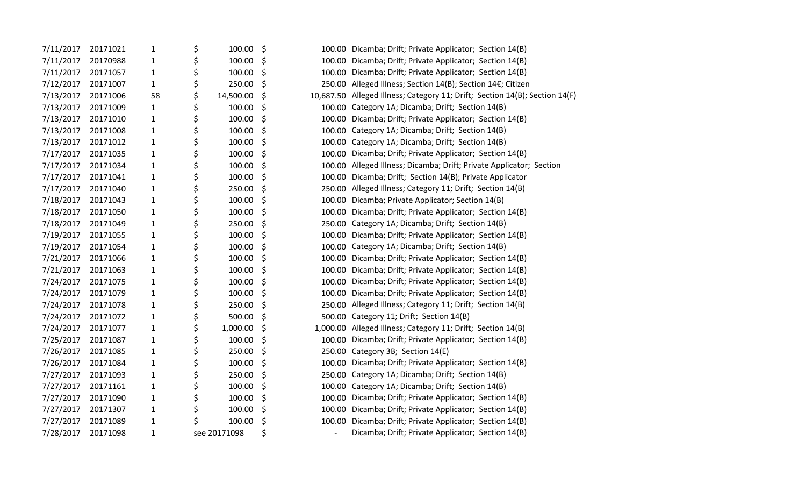| 7/11/2017 | 20171021 | 1            | \$<br>100.00    | \$ | 100.00 Dicamba; Drift; Private Applicator; Section 14(B)                    |
|-----------|----------|--------------|-----------------|----|-----------------------------------------------------------------------------|
| 7/11/2017 | 20170988 | $\mathbf{1}$ | \$<br>100.00    | \$ | 100.00 Dicamba; Drift; Private Applicator; Section 14(B)                    |
| 7/11/2017 | 20171057 | $\mathbf{1}$ | \$<br>100.00    | \$ | 100.00 Dicamba; Drift; Private Applicator; Section 14(B)                    |
| 7/12/2017 | 20171007 | $\mathbf{1}$ | \$<br>250.00    | \$ | 250.00 Alleged Illness; Section 14(B); Section 14€; Citizen                 |
| 7/13/2017 | 20171006 | 58           | \$<br>14,500.00 | \$ | 10,687.50 Alleged Illness; Category 11; Drift; Section 14(B); Section 14(F) |
| 7/13/2017 | 20171009 | $\mathbf{1}$ | \$<br>100.00    | \$ | 100.00 Category 1A; Dicamba; Drift; Section 14(B)                           |
| 7/13/2017 | 20171010 | $\mathbf{1}$ | \$<br>100.00    | \$ | 100.00 Dicamba; Drift; Private Applicator; Section 14(B)                    |
| 7/13/2017 | 20171008 | $\mathbf{1}$ | \$<br>100.00    | \$ | 100.00 Category 1A; Dicamba; Drift; Section 14(B)                           |
| 7/13/2017 | 20171012 | $\mathbf{1}$ | \$<br>100.00    | \$ | 100.00 Category 1A; Dicamba; Drift; Section 14(B)                           |
| 7/17/2017 | 20171035 | $\mathbf{1}$ | \$<br>100.00    | \$ | 100.00 Dicamba; Drift; Private Applicator; Section 14(B)                    |
| 7/17/2017 | 20171034 | $\mathbf{1}$ | \$<br>100.00    | \$ | 100.00 Alleged Illness; Dicamba; Drift; Private Applicator; Section         |
| 7/17/2017 | 20171041 | $\mathbf{1}$ | \$<br>100.00    | \$ | 100.00 Dicamba; Drift; Section 14(B); Private Applicator                    |
| 7/17/2017 | 20171040 | $\mathbf{1}$ | \$<br>250.00    | \$ | 250.00 Alleged Illness; Category 11; Drift; Section 14(B)                   |
| 7/18/2017 | 20171043 | $\mathbf{1}$ | \$<br>100.00    | \$ | 100.00 Dicamba; Private Applicator; Section 14(B)                           |
| 7/18/2017 | 20171050 | $\mathbf{1}$ | \$<br>100.00    | \$ | 100.00 Dicamba; Drift; Private Applicator; Section 14(B)                    |
| 7/18/2017 | 20171049 | $\mathbf{1}$ | \$<br>250.00    | \$ | 250.00 Category 1A; Dicamba; Drift; Section 14(B)                           |
| 7/19/2017 | 20171055 | $\mathbf{1}$ | \$<br>100.00    | \$ | 100.00 Dicamba; Drift; Private Applicator; Section 14(B)                    |
| 7/19/2017 | 20171054 | $\mathbf{1}$ | \$<br>100.00    | \$ | 100.00 Category 1A; Dicamba; Drift; Section 14(B)                           |
| 7/21/2017 | 20171066 | $\mathbf{1}$ | \$<br>100.00    | \$ | 100.00 Dicamba; Drift; Private Applicator; Section 14(B)                    |
| 7/21/2017 | 20171063 | $\mathbf{1}$ | \$<br>100.00    | \$ | 100.00 Dicamba; Drift; Private Applicator; Section 14(B)                    |
| 7/24/2017 | 20171075 | $\mathbf{1}$ | \$<br>100.00    | \$ | 100.00 Dicamba; Drift; Private Applicator; Section 14(B)                    |
| 7/24/2017 | 20171079 | $\mathbf{1}$ | \$<br>100.00    | \$ | 100.00 Dicamba; Drift; Private Applicator; Section 14(B)                    |
| 7/24/2017 | 20171078 | $\mathbf{1}$ | \$<br>250.00    | \$ | 250.00 Alleged Illness; Category 11; Drift; Section 14(B)                   |
| 7/24/2017 | 20171072 | $\mathbf{1}$ | \$<br>500.00    | \$ | 500.00 Category 11; Drift; Section 14(B)                                    |
| 7/24/2017 | 20171077 | $\mathbf{1}$ | \$<br>1,000.00  | \$ | 1,000.00 Alleged Illness; Category 11; Drift; Section 14(B)                 |
| 7/25/2017 | 20171087 | $\mathbf{1}$ | \$<br>100.00    | \$ | 100.00 Dicamba; Drift; Private Applicator; Section 14(B)                    |
| 7/26/2017 | 20171085 | $\mathbf{1}$ | \$<br>250.00    | \$ | 250.00 Category 3B; Section 14(E)                                           |
| 7/26/2017 | 20171084 | $\mathbf{1}$ | \$<br>100.00    | \$ | 100.00 Dicamba; Drift; Private Applicator; Section 14(B)                    |
| 7/27/2017 | 20171093 | $\mathbf{1}$ | \$<br>250.00    | \$ | 250.00 Category 1A; Dicamba; Drift; Section 14(B)                           |
| 7/27/2017 | 20171161 | $\mathbf{1}$ | \$<br>100.00    | \$ | 100.00 Category 1A; Dicamba; Drift; Section 14(B)                           |
| 7/27/2017 | 20171090 | $\mathbf{1}$ | \$<br>100.00    | \$ | 100.00 Dicamba; Drift; Private Applicator; Section 14(B)                    |
| 7/27/2017 | 20171307 | $\mathbf{1}$ | \$<br>100.00    | \$ | 100.00 Dicamba; Drift; Private Applicator; Section 14(B)                    |
| 7/27/2017 | 20171089 | $\mathbf{1}$ | \$<br>100.00    | \$ | 100.00 Dicamba; Drift; Private Applicator; Section 14(B)                    |
| 7/28/2017 | 20171098 | $\mathbf{1}$ | see 20171098    | \$ | Dicamba; Drift; Private Applicator; Section 14(B)                           |
|           |          |              |                 |    |                                                                             |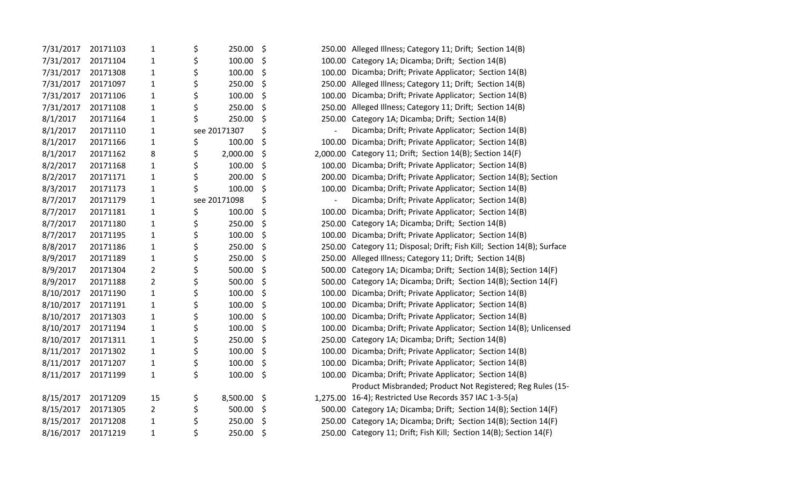| 7/31/2017 | 20171103 | $\mathbf{1}$   | \$<br>250.00   | \$                             | 250.00 Alleged Illness; Category 11; Drift; Section 14(B)              |
|-----------|----------|----------------|----------------|--------------------------------|------------------------------------------------------------------------|
| 7/31/2017 | 20171104 | $\mathbf{1}$   | \$<br>100.00   | \$                             | 100.00 Category 1A; Dicamba; Drift; Section 14(B)                      |
| 7/31/2017 | 20171308 | $\mathbf{1}$   | \$<br>100.00   | \$                             | 100.00 Dicamba; Drift; Private Applicator; Section 14(B)               |
| 7/31/2017 | 20171097 | $\mathbf 1$    | \$<br>250.00   | \$                             | 250.00 Alleged Illness; Category 11; Drift; Section 14(B)              |
| 7/31/2017 | 20171106 | $\mathbf{1}$   | \$<br>100.00   | \$                             | 100.00 Dicamba; Drift; Private Applicator; Section 14(B)               |
| 7/31/2017 | 20171108 | $\mathbf{1}$   | \$<br>250.00   | \$                             | 250.00 Alleged Illness; Category 11; Drift; Section 14(B)              |
| 8/1/2017  | 20171164 | $\mathbf{1}$   | \$<br>250.00   | \$                             | 250.00 Category 1A; Dicamba; Drift; Section 14(B)                      |
| 8/1/2017  | 20171110 | $\mathbf{1}$   | see 20171307   | \$                             | Dicamba; Drift; Private Applicator; Section 14(B)                      |
| 8/1/2017  | 20171166 | $\mathbf{1}$   | \$<br>100.00   | \$<br>100.00                   | Dicamba; Drift; Private Applicator; Section 14(B)                      |
| 8/1/2017  | 20171162 | 8              | \$<br>2,000.00 | \$                             | 2,000.00 Category 11; Drift; Section 14(B); Section 14(F)              |
| 8/2/2017  | 20171168 | $\mathbf{1}$   | \$<br>100.00   | \$                             | 100.00 Dicamba; Drift; Private Applicator; Section 14(B)               |
| 8/2/2017  | 20171171 | $\mathbf{1}$   | \$<br>200.00   | \$<br>200.00                   | Dicamba; Drift; Private Applicator; Section 14(B); Section             |
| 8/3/2017  | 20171173 | 1              | \$<br>100.00   | \$<br>100.00                   | Dicamba; Drift; Private Applicator; Section 14(B)                      |
| 8/7/2017  | 20171179 | $\mathbf{1}$   | see 20171098   | \$<br>$\overline{\phantom{a}}$ | Dicamba; Drift; Private Applicator; Section 14(B)                      |
| 8/7/2017  | 20171181 | $\mathbf{1}$   | \$<br>100.00   | \$<br>100.00                   | Dicamba; Drift; Private Applicator; Section 14(B)                      |
| 8/7/2017  | 20171180 | $\mathbf{1}$   | \$<br>250.00   | \$                             | 250.00 Category 1A; Dicamba; Drift; Section 14(B)                      |
| 8/7/2017  | 20171195 | $\mathbf{1}$   | \$<br>100.00   | \$                             | 100.00 Dicamba; Drift; Private Applicator; Section 14(B)               |
| 8/8/2017  | 20171186 | $\mathbf{1}$   | \$<br>250.00   | \$                             | 250.00 Category 11; Disposal; Drift; Fish Kill; Section 14(B); Surface |
| 8/9/2017  | 20171189 | $\mathbf{1}$   | \$<br>250.00   | \$                             | 250.00 Alleged Illness; Category 11; Drift; Section 14(B)              |
| 8/9/2017  | 20171304 | $\overline{2}$ | \$<br>500.00   | \$                             | 500.00 Category 1A; Dicamba; Drift; Section 14(B); Section 14(F)       |
| 8/9/2017  | 20171188 | $\overline{2}$ | \$<br>500.00   | \$                             | 500.00 Category 1A; Dicamba; Drift; Section 14(B); Section 14(F)       |
| 8/10/2017 | 20171190 | $\mathbf{1}$   | \$<br>100.00   | \$<br>100.00                   | Dicamba; Drift; Private Applicator; Section 14(B)                      |
| 8/10/2017 | 20171191 | $\mathbf{1}$   | \$<br>100.00   | \$<br>100.00                   | Dicamba; Drift; Private Applicator; Section 14(B)                      |
| 8/10/2017 | 20171303 | $\mathbf{1}$   | \$<br>100.00   | \$                             | 100.00 Dicamba; Drift; Private Applicator; Section 14(B)               |
| 8/10/2017 | 20171194 | $\mathbf{1}$   | \$<br>100.00   | \$                             | 100.00 Dicamba; Drift; Private Applicator; Section 14(B); Unlicensed   |
| 8/10/2017 | 20171311 | $\mathbf{1}$   | \$<br>250.00   | \$                             | 250.00 Category 1A; Dicamba; Drift; Section 14(B)                      |
| 8/11/2017 | 20171302 | $\mathbf{1}$   | \$<br>100.00   | \$                             | 100.00 Dicamba; Drift; Private Applicator; Section 14(B)               |
| 8/11/2017 | 20171207 | $\mathbf{1}$   | \$<br>100.00   | \$<br>100.00                   | Dicamba; Drift; Private Applicator; Section 14(B)                      |
| 8/11/2017 | 20171199 | $\mathbf{1}$   | \$<br>100.00   | \$<br>100.00                   | Dicamba; Drift; Private Applicator; Section 14(B)                      |
|           |          |                |                |                                | Product Misbranded; Product Not Registered; Reg Rules (15-             |
| 8/15/2017 | 20171209 | 15             | \$<br>8,500.00 | \$                             | 1,275.00 16-4); Restricted Use Records 357 IAC 1-3-5(a)                |
| 8/15/2017 | 20171305 | $\overline{2}$ | \$<br>500.00   | \$                             | 500.00 Category 1A; Dicamba; Drift; Section 14(B); Section 14(F)       |
| 8/15/2017 | 20171208 | $\mathbf{1}$   | \$<br>250.00   | \$                             | 250.00 Category 1A; Dicamba; Drift; Section 14(B); Section 14(F)       |
| 8/16/2017 | 20171219 | $\mathbf{1}$   | \$<br>250.00   | \$                             | 250.00 Category 11; Drift; Fish Kill; Section 14(B); Section 14(F)     |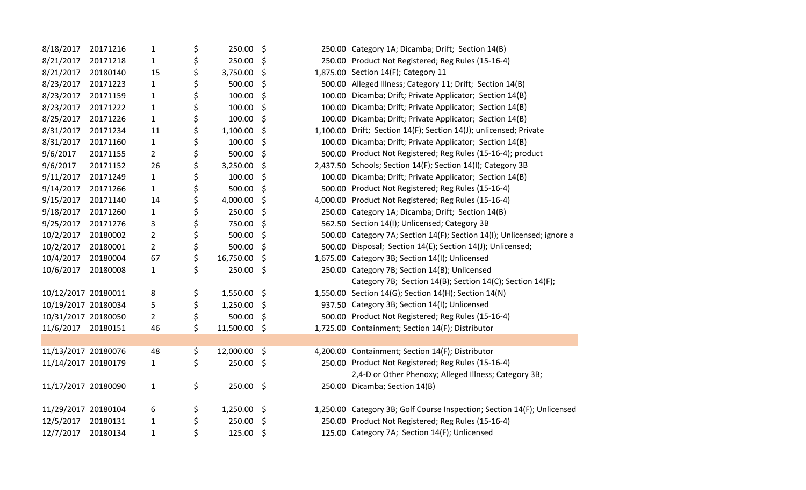| 20171216 | $\mathbf{1}$                                                                                                                                                  | \$<br>250.00    | \$            |           | 250.00 Category 1A; Dicamba; Drift; Section 14(B)                       |
|----------|---------------------------------------------------------------------------------------------------------------------------------------------------------------|-----------------|---------------|-----------|-------------------------------------------------------------------------|
| 20171218 | $\mathbf{1}$                                                                                                                                                  | \$<br>250.00    | \$            |           | 250.00 Product Not Registered; Reg Rules (15-16-4)                      |
| 20180140 | 15                                                                                                                                                            | \$<br>3,750.00  | \$            |           | 1,875.00 Section 14(F); Category 11                                     |
| 20171223 | $\mathbf{1}$                                                                                                                                                  | \$<br>500.00    | \$            |           | 500.00 Alleged Illness; Category 11; Drift; Section 14(B)               |
| 20171159 | $\mathbf{1}$                                                                                                                                                  | \$<br>100.00    | \$            |           | 100.00 Dicamba; Drift; Private Applicator; Section 14(B)                |
| 20171222 | $\mathbf{1}$                                                                                                                                                  | \$<br>100.00    | \$            |           | 100.00 Dicamba; Drift; Private Applicator; Section 14(B)                |
| 20171226 | $\mathbf{1}$                                                                                                                                                  | \$<br>100.00    | \$            |           | 100.00 Dicamba; Drift; Private Applicator; Section 14(B)                |
| 20171234 | 11                                                                                                                                                            | \$<br>1,100.00  | \$            |           | 1,100.00 Drift; Section 14(F); Section 14(J); unlicensed; Private       |
| 20171160 | $\mathbf{1}$                                                                                                                                                  | \$<br>100.00    | \$            |           | 100.00 Dicamba; Drift; Private Applicator; Section 14(B)                |
| 20171155 | $\overline{2}$                                                                                                                                                | \$<br>500.00    | \$            |           | 500.00 Product Not Registered; Reg Rules (15-16-4); product             |
| 20171152 | 26                                                                                                                                                            | \$<br>3,250.00  | \$            |           | 2,437.50 Schools; Section 14(F); Section 14(I); Category 3B             |
| 20171249 | $\mathbf{1}$                                                                                                                                                  | \$<br>100.00    | \$            |           | 100.00 Dicamba; Drift; Private Applicator; Section 14(B)                |
| 20171266 | $\mathbf{1}$                                                                                                                                                  | \$<br>500.00    | \$            |           | 500.00 Product Not Registered; Reg Rules (15-16-4)                      |
| 20171140 | 14                                                                                                                                                            | \$<br>4,000.00  | \$            |           | 4,000.00 Product Not Registered; Reg Rules (15-16-4)                    |
| 20171260 | $\mathbf{1}$                                                                                                                                                  | \$<br>250.00    | \$            |           | 250.00 Category 1A; Dicamba; Drift; Section 14(B)                       |
| 20171276 | 3                                                                                                                                                             | \$<br>750.00    | \$            |           | 562.50 Section 14(I); Unlicensed; Category 3B                           |
| 20180002 | $\overline{2}$                                                                                                                                                | 500.00          | \$            |           | 500.00 Category 7A; Section 14(F); Section 14(I); Unlicensed; ignore a  |
| 20180001 | $\overline{2}$                                                                                                                                                | \$<br>500.00    | \$            |           | 500.00 Disposal; Section 14(E); Section 14(J); Unlicensed;              |
| 20180004 | 67                                                                                                                                                            | \$<br>16,750.00 | \$            |           | 1,675.00 Category 3B; Section 14(I); Unlicensed                         |
| 20180008 | $\mathbf{1}$                                                                                                                                                  | \$<br>250.00    | \$            |           | 250.00 Category 7B; Section 14(B); Unlicensed                           |
|          |                                                                                                                                                               |                 |               |           | Category 7B; Section 14(B); Section 14(C); Section 14(F);               |
|          | 8                                                                                                                                                             | \$<br>1,550.00  | \$            |           | 1,550.00 Section 14(G); Section 14(H); Section 14(N)                    |
|          | 5                                                                                                                                                             | \$<br>1,250.00  | \$            |           | 937.50 Category 3B; Section 14(I); Unlicensed                           |
|          | $\overline{2}$                                                                                                                                                | \$<br>500.00    | \$            |           | 500.00 Product Not Registered; Reg Rules (15-16-4)                      |
| 20180151 | 46                                                                                                                                                            | \$<br>11,500.00 | \$            |           | 1,725.00 Containment; Section 14(F); Distributor                        |
|          |                                                                                                                                                               |                 |               |           |                                                                         |
|          | 48                                                                                                                                                            | \$<br>12,000.00 | \$            |           | 4,200.00 Containment; Section 14(F); Distributor                        |
|          | $\mathbf{1}$                                                                                                                                                  | 250.00          | $\zeta$       |           | 250.00 Product Not Registered; Reg Rules (15-16-4)                      |
|          |                                                                                                                                                               |                 |               |           | 2,4-D or Other Phenoxy; Alleged Illness; Category 3B;                   |
|          | $\mathbf{1}$                                                                                                                                                  | \$              |               |           | 250.00 Dicamba; Section 14(B)                                           |
|          |                                                                                                                                                               |                 |               |           |                                                                         |
|          | 6                                                                                                                                                             | \$<br>1,250.00  | $\ddot{\phi}$ |           | 1,250.00 Category 3B; Golf Course Inspection; Section 14(F); Unlicensed |
| 20180131 | $\mathbf{1}$                                                                                                                                                  | \$<br>250.00    | \$            |           | 250.00 Product Not Registered; Reg Rules (15-16-4)                      |
| 20180134 | $\mathbf{1}$                                                                                                                                                  | \$<br>125.00    | \$            |           | 125.00 Category 7A; Section 14(F); Unlicensed                           |
|          | 10/12/2017 20180011<br>10/19/2017 20180034<br>10/31/2017 20180050<br>11/13/2017 20180076<br>11/14/2017 20180179<br>11/17/2017 20180090<br>11/29/2017 20180104 | \$<br>\$        |               | 250.00 \$ |                                                                         |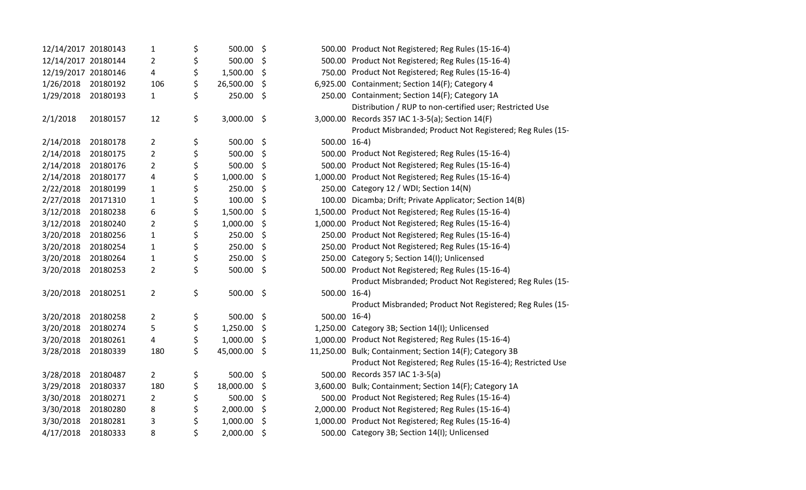| 12/14/2017 20180143 |          | 1              | \$<br>500.00    | \$                 | 500.00 Product Not Registered; Reg Rules (15-16-4)          |
|---------------------|----------|----------------|-----------------|--------------------|-------------------------------------------------------------|
| 12/14/2017 20180144 |          | $\overline{2}$ | \$<br>500.00    | \$                 | 500.00 Product Not Registered; Reg Rules (15-16-4)          |
| 12/19/2017 20180146 |          | 4              | \$<br>1,500.00  | \$                 | 750.00 Product Not Registered; Reg Rules (15-16-4)          |
| 1/26/2018           | 20180192 | 106            | \$<br>26,500.00 | \$                 | 6,925.00 Containment; Section 14(F); Category 4             |
| 1/29/2018           | 20180193 | $\mathbf{1}$   | \$<br>250.00    | \$                 | 250.00 Containment; Section 14(F); Category 1A              |
|                     |          |                |                 |                    | Distribution / RUP to non-certified user; Restricted Use    |
| 2/1/2018            | 20180157 | 12             | \$<br>3,000.00  | \$                 | 3,000.00 Records 357 IAC 1-3-5(a); Section 14(F)            |
|                     |          |                |                 |                    | Product Misbranded; Product Not Registered; Reg Rules (15-  |
| 2/14/2018           | 20180178 | $\overline{2}$ | \$<br>500.00    | \$<br>500.00 16-4) |                                                             |
| 2/14/2018           | 20180175 | $\overline{2}$ | \$<br>500.00    | \$                 | 500.00 Product Not Registered; Reg Rules (15-16-4)          |
| 2/14/2018           | 20180176 | $\overline{2}$ | \$<br>500.00    | \$                 | 500.00 Product Not Registered; Reg Rules (15-16-4)          |
| 2/14/2018           | 20180177 | 4              | \$<br>1,000.00  | \$                 | 1,000.00 Product Not Registered; Reg Rules (15-16-4)        |
| 2/22/2018           | 20180199 | $\mathbf{1}$   | \$<br>250.00    | \$                 | 250.00 Category 12 / WDI; Section 14(N)                     |
| 2/27/2018           | 20171310 | $\mathbf{1}$   | \$<br>100.00    | \$                 | 100.00 Dicamba; Drift; Private Applicator; Section 14(B)    |
| 3/12/2018           | 20180238 | 6              | \$<br>1,500.00  | \$                 | 1,500.00 Product Not Registered; Reg Rules (15-16-4)        |
| 3/12/2018           | 20180240 | $\overline{2}$ | \$<br>1,000.00  | \$                 | 1,000.00 Product Not Registered; Reg Rules (15-16-4)        |
| 3/20/2018           | 20180256 | $\mathbf{1}$   | \$<br>250.00    | \$                 | 250.00 Product Not Registered; Reg Rules (15-16-4)          |
| 3/20/2018           | 20180254 | $\mathbf{1}$   | \$<br>250.00    | \$                 | 250.00 Product Not Registered; Reg Rules (15-16-4)          |
| 3/20/2018           | 20180264 | $\mathbf{1}$   | \$<br>250.00    | \$                 | 250.00 Category 5; Section 14(I); Unlicensed                |
| 3/20/2018           | 20180253 | $\overline{2}$ | \$<br>500.00    | \$                 | 500.00 Product Not Registered; Reg Rules (15-16-4)          |
|                     |          |                |                 |                    | Product Misbranded; Product Not Registered; Reg Rules (15-  |
| 3/20/2018           | 20180251 | $\overline{2}$ | \$<br>500.00    | \$<br>500.00 16-4) |                                                             |
|                     |          |                |                 |                    | Product Misbranded; Product Not Registered; Reg Rules (15-  |
| 3/20/2018           | 20180258 | $\overline{2}$ | \$<br>500.00    | \$<br>500.00 16-4) |                                                             |
| 3/20/2018           | 20180274 | 5              | \$<br>1,250.00  | \$                 | 1,250.00 Category 3B; Section 14(I); Unlicensed             |
| 3/20/2018           | 20180261 | 4              | \$<br>1,000.00  | \$                 | 1,000.00 Product Not Registered; Reg Rules (15-16-4)        |
| 3/28/2018           | 20180339 | 180            | \$<br>45,000.00 | \$                 | 11,250.00 Bulk; Containment; Section 14(F); Category 3B     |
|                     |          |                |                 |                    | Product Not Registered; Reg Rules (15-16-4); Restricted Use |
| 3/28/2018           | 20180487 | $2^{\circ}$    | \$<br>500.00    | \$                 | 500.00 Records 357 IAC 1-3-5(a)                             |
| 3/29/2018           | 20180337 | 180            | \$<br>18,000.00 | \$                 | 3,600.00 Bulk; Containment; Section 14(F); Category 1A      |
| 3/30/2018           | 20180271 | $\overline{2}$ | \$<br>500.00    | \$                 | 500.00 Product Not Registered; Reg Rules (15-16-4)          |
| 3/30/2018           | 20180280 | 8              | \$<br>2,000.00  | \$                 | 2,000.00 Product Not Registered; Reg Rules (15-16-4)        |
| 3/30/2018           | 20180281 | 3              | \$<br>1,000.00  | \$                 | 1,000.00 Product Not Registered; Reg Rules (15-16-4)        |
| 4/17/2018           | 20180333 | 8              | \$<br>2,000.00  | \$                 | 500.00 Category 3B; Section 14(I); Unlicensed               |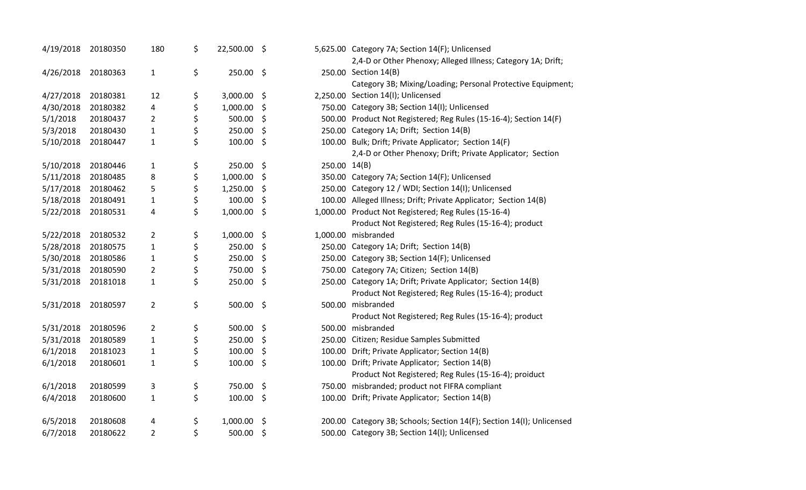| 4/19/2018 | 20180350 | 180            | \$<br>22,500.00 \$ |         |              | 5,625.00 Category 7A; Section 14(F); Unlicensed                       |
|-----------|----------|----------------|--------------------|---------|--------------|-----------------------------------------------------------------------|
|           |          |                |                    |         |              | 2,4-D or Other Phenoxy; Alleged Illness; Category 1A; Drift;          |
| 4/26/2018 | 20180363 | $\mathbf{1}$   | \$<br>250.00       | \$      |              | 250.00 Section 14(B)                                                  |
|           |          |                |                    |         |              | Category 3B; Mixing/Loading; Personal Protective Equipment;           |
| 4/27/2018 | 20180381 | 12             | \$<br>3,000.00     | \$      |              | 2,250.00 Section 14(I); Unlicensed                                    |
| 4/30/2018 | 20180382 | 4              | \$<br>1,000.00     | \$      |              | 750.00 Category 3B; Section 14(I); Unlicensed                         |
| 5/1/2018  | 20180437 | $\overline{2}$ | \$<br>500.00       | \$      |              | 500.00 Product Not Registered; Reg Rules (15-16-4); Section 14(F)     |
| 5/3/2018  | 20180430 | $\mathbf{1}$   | \$<br>250.00       | \$      |              | 250.00 Category 1A; Drift; Section 14(B)                              |
| 5/10/2018 | 20180447 | $\mathbf{1}$   | \$<br>100.00       | \$      |              | 100.00 Bulk; Drift; Private Applicator; Section 14(F)                 |
|           |          |                |                    |         |              | 2,4-D or Other Phenoxy; Drift; Private Applicator; Section            |
| 5/10/2018 | 20180446 | $\mathbf{1}$   | \$<br>250.00       | \$      | 250.00 14(B) |                                                                       |
| 5/11/2018 | 20180485 | 8              | \$<br>1,000.00     | \$      |              | 350.00 Category 7A; Section 14(F); Unlicensed                         |
| 5/17/2018 | 20180462 | 5              | \$<br>1,250.00     | \$      |              | 250.00 Category 12 / WDI; Section 14(I); Unlicensed                   |
| 5/18/2018 | 20180491 | $\mathbf{1}$   | \$<br>100.00       | \$      |              | 100.00 Alleged Illness; Drift; Private Applicator; Section 14(B)      |
| 5/22/2018 | 20180531 | 4              | \$<br>1,000.00     | \$      |              | 1,000.00 Product Not Registered; Reg Rules (15-16-4)                  |
|           |          |                |                    |         |              | Product Not Registered; Reg Rules (15-16-4); product                  |
| 5/22/2018 | 20180532 | $\overline{2}$ | \$<br>1,000.00     | \$      |              | 1,000.00 misbranded                                                   |
| 5/28/2018 | 20180575 | $\mathbf{1}$   | \$<br>250.00       | \$      |              | 250.00 Category 1A; Drift; Section 14(B)                              |
| 5/30/2018 | 20180586 | $\mathbf{1}$   | \$<br>250.00       | \$      |              | 250.00 Category 3B; Section 14(F); Unlicensed                         |
| 5/31/2018 | 20180590 | $\overline{2}$ | \$<br>750.00       | \$      |              | 750.00 Category 7A; Citizen; Section 14(B)                            |
| 5/31/2018 | 20181018 | $\mathbf{1}$   | \$<br>250.00       | \$      |              | 250.00 Category 1A; Drift; Private Applicator; Section 14(B)          |
|           |          |                |                    |         |              | Product Not Registered; Reg Rules (15-16-4); product                  |
| 5/31/2018 | 20180597 | $\overline{2}$ | \$<br>500.00       | $\zeta$ |              | 500.00 misbranded                                                     |
|           |          |                |                    |         |              | Product Not Registered; Reg Rules (15-16-4); product                  |
| 5/31/2018 | 20180596 | $\overline{2}$ | \$<br>500.00       | $\zeta$ |              | 500.00 misbranded                                                     |
| 5/31/2018 | 20180589 | $\mathbf{1}$   | \$<br>250.00       | \$      |              | 250.00 Citizen; Residue Samples Submitted                             |
| 6/1/2018  | 20181023 | $\mathbf{1}$   | \$<br>100.00       | \$      |              | 100.00 Drift; Private Applicator; Section 14(B)                       |
| 6/1/2018  | 20180601 | $\mathbf{1}$   | \$<br>100.00       | \$      |              | 100.00 Drift; Private Applicator; Section 14(B)                       |
|           |          |                |                    |         |              | Product Not Registered; Reg Rules (15-16-4); proiduct                 |
| 6/1/2018  | 20180599 | 3              | \$<br>750.00       | \$      |              | 750.00 misbranded; product not FIFRA compliant                        |
| 6/4/2018  | 20180600 | $\mathbf{1}$   | \$<br>100.00       | \$      |              | 100.00 Drift; Private Applicator; Section 14(B)                       |
|           |          |                |                    |         |              |                                                                       |
| 6/5/2018  | 20180608 | 4              | \$<br>1,000.00     | \$      |              | 200.00 Category 3B; Schools; Section 14(F); Section 14(I); Unlicensed |
| 6/7/2018  | 20180622 | 2              | \$<br>500.00       | \$      |              | 500.00 Category 3B; Section 14(I); Unlicensed                         |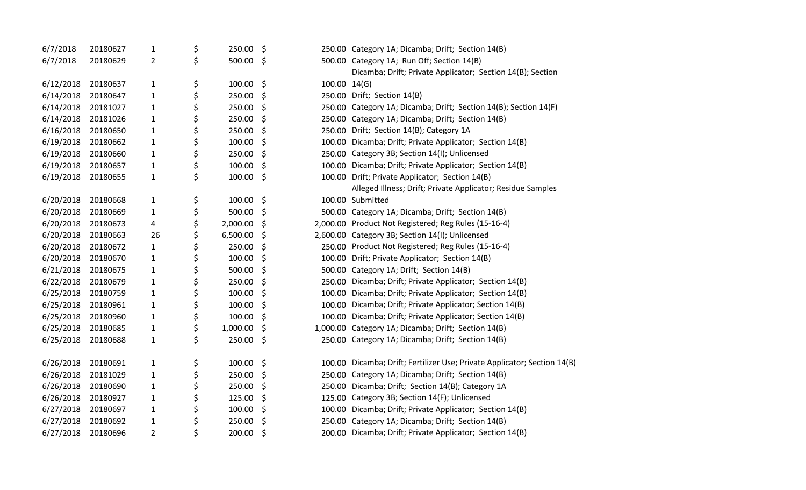| 6/7/2018  | 20180627 | $\mathbf{1}$   | \$<br>250.00   | \$      |              | 250.00 Category 1A; Dicamba; Drift; Section 14(B)                        |
|-----------|----------|----------------|----------------|---------|--------------|--------------------------------------------------------------------------|
| 6/7/2018  | 20180629 | $\overline{2}$ | \$<br>500.00   | \$      |              | 500.00 Category 1A; Run Off; Section 14(B)                               |
|           |          |                |                |         |              | Dicamba; Drift; Private Applicator; Section 14(B); Section               |
| 6/12/2018 | 20180637 | $\mathbf{1}$   | \$<br>100.00   | \$      | 100.00 14(G) |                                                                          |
| 6/14/2018 | 20180647 | $\mathbf{1}$   | \$<br>250.00   | \$      |              | 250.00 Drift; Section 14(B)                                              |
| 6/14/2018 | 20181027 | $\mathbf{1}$   | \$<br>250.00   | \$      |              | 250.00 Category 1A; Dicamba; Drift; Section 14(B); Section 14(F)         |
| 6/14/2018 | 20181026 | $\mathbf{1}$   | \$<br>250.00   | \$      |              | 250.00 Category 1A; Dicamba; Drift; Section 14(B)                        |
| 6/16/2018 | 20180650 | $\mathbf{1}$   | \$<br>250.00   | \$      |              | 250.00 Drift; Section 14(B); Category 1A                                 |
| 6/19/2018 | 20180662 | $\mathbf{1}$   | \$<br>100.00   | \$      |              | 100.00 Dicamba; Drift; Private Applicator; Section 14(B)                 |
| 6/19/2018 | 20180660 | $\mathbf{1}$   | \$<br>250.00   | \$      |              | 250.00 Category 3B; Section 14(I); Unlicensed                            |
| 6/19/2018 | 20180657 | $\mathbf{1}$   | \$<br>100.00   | \$      |              | 100.00 Dicamba; Drift; Private Applicator; Section 14(B)                 |
| 6/19/2018 | 20180655 | $\mathbf{1}$   | \$<br>100.00   | \$      |              | 100.00 Drift; Private Applicator; Section 14(B)                          |
|           |          |                |                |         |              | Alleged Illness; Drift; Private Applicator; Residue Samples              |
| 6/20/2018 | 20180668 | $\mathbf{1}$   | \$<br>100.00   | $\zeta$ |              | 100.00 Submitted                                                         |
| 6/20/2018 | 20180669 | $\mathbf{1}$   | \$<br>500.00   | \$      |              | 500.00 Category 1A; Dicamba; Drift; Section 14(B)                        |
| 6/20/2018 | 20180673 | 4              | \$<br>2,000.00 | \$      |              | 2,000.00 Product Not Registered; Reg Rules (15-16-4)                     |
| 6/20/2018 | 20180663 | 26             | \$<br>6,500.00 | \$      |              | 2,600.00 Category 3B; Section 14(I); Unlicensed                          |
| 6/20/2018 | 20180672 | $\mathbf{1}$   | \$<br>250.00   | \$      |              | 250.00 Product Not Registered; Reg Rules (15-16-4)                       |
| 6/20/2018 | 20180670 | $\mathbf{1}$   | \$<br>100.00   | \$      |              | 100.00 Drift; Private Applicator; Section 14(B)                          |
| 6/21/2018 | 20180675 | $\mathbf{1}$   | \$<br>500.00   | \$      |              | 500.00 Category 1A; Drift; Section 14(B)                                 |
| 6/22/2018 | 20180679 | $\mathbf{1}$   | \$<br>250.00   | \$      |              | 250.00 Dicamba; Drift; Private Applicator; Section 14(B)                 |
| 6/25/2018 | 20180759 | $\mathbf{1}$   | \$<br>100.00   | \$      |              | 100.00 Dicamba; Drift; Private Applicator; Section 14(B)                 |
| 6/25/2018 | 20180961 | $\mathbf{1}$   | \$<br>100.00   | \$      |              | 100.00 Dicamba; Drift; Private Applicator; Section 14(B)                 |
| 6/25/2018 | 20180960 | $\mathbf{1}$   | \$<br>100.00   | \$      |              | 100.00 Dicamba; Drift; Private Applicator; Section 14(B)                 |
| 6/25/2018 | 20180685 | $\mathbf{1}$   | \$<br>1,000.00 | \$      |              | 1,000.00 Category 1A; Dicamba; Drift; Section 14(B)                      |
| 6/25/2018 | 20180688 | $\mathbf{1}$   | \$<br>250.00   | \$      |              | 250.00 Category 1A; Dicamba; Drift; Section 14(B)                        |
|           |          |                |                |         |              |                                                                          |
| 6/26/2018 | 20180691 | $\mathbf{1}$   | \$<br>100.00   | \$      |              | 100.00 Dicamba; Drift; Fertilizer Use; Private Applicator; Section 14(B) |
| 6/26/2018 | 20181029 | $\mathbf{1}$   | \$<br>250.00   | \$      |              | 250.00 Category 1A; Dicamba; Drift; Section 14(B)                        |
| 6/26/2018 | 20180690 | $\mathbf{1}$   | \$<br>250.00   | \$      |              | 250.00 Dicamba; Drift; Section 14(B); Category 1A                        |
| 6/26/2018 | 20180927 | $\mathbf{1}$   | \$<br>125.00   | \$      |              | 125.00 Category 3B; Section 14(F); Unlicensed                            |
| 6/27/2018 | 20180697 | $\mathbf{1}$   | \$<br>100.00   | \$      |              | 100.00 Dicamba; Drift; Private Applicator; Section 14(B)                 |
| 6/27/2018 | 20180692 | $\mathbf{1}$   | \$<br>250.00   | \$      |              | 250.00 Category 1A; Dicamba; Drift; Section 14(B)                        |
| 6/27/2018 | 20180696 | $\overline{2}$ | \$<br>200.00   | \$      |              | 200.00 Dicamba; Drift; Private Applicator; Section 14(B)                 |
|           |          |                |                |         |              |                                                                          |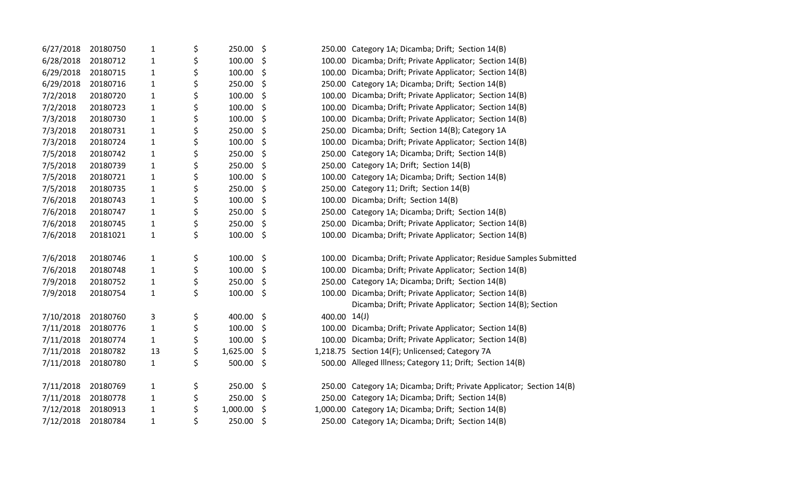| 6/27/2018 | 20180750 | 1            | \$<br>250.00      | \$      |        | 250.00 Category 1A; Dicamba; Drift; Section 14(B)                     |
|-----------|----------|--------------|-------------------|---------|--------|-----------------------------------------------------------------------|
| 6/28/2018 | 20180712 | $\mathbf{1}$ | \$<br>100.00      | \$      | 100.00 | Dicamba; Drift; Private Applicator; Section 14(B)                     |
| 6/29/2018 | 20180715 | 1            | \$<br>100.00      | \$      | 100.00 | Dicamba; Drift; Private Applicator; Section 14(B)                     |
| 6/29/2018 | 20180716 | 1            | \$<br>250.00      | \$      | 250.00 | Category 1A; Dicamba; Drift; Section 14(B)                            |
| 7/2/2018  | 20180720 | $\mathbf{1}$ | \$<br>100.00      | \$      | 100.00 | Dicamba; Drift; Private Applicator; Section 14(B)                     |
| 7/2/2018  | 20180723 | $\mathbf{1}$ | \$<br>100.00      | \$      | 100.00 | Dicamba; Drift; Private Applicator; Section 14(B)                     |
| 7/3/2018  | 20180730 | 1            | \$<br>100.00      | \$      | 100.00 | Dicamba; Drift; Private Applicator; Section 14(B)                     |
| 7/3/2018  | 20180731 | $\mathbf{1}$ | \$<br>250.00      | \$      | 250.00 | Dicamba; Drift; Section 14(B); Category 1A                            |
| 7/3/2018  | 20180724 | $\mathbf{1}$ | \$<br>100.00      | \$      | 100.00 | Dicamba; Drift; Private Applicator; Section 14(B)                     |
| 7/5/2018  | 20180742 | 1            | \$<br>250.00      | \$      |        | 250.00 Category 1A; Dicamba; Drift; Section 14(B)                     |
| 7/5/2018  | 20180739 | 1            | \$<br>250.00      | \$      |        | 250.00 Category 1A; Drift; Section 14(B)                              |
| 7/5/2018  | 20180721 | $\mathbf{1}$ | \$<br>100.00      | \$      |        | 100.00 Category 1A; Dicamba; Drift; Section 14(B)                     |
| 7/5/2018  | 20180735 | $\mathbf{1}$ | \$<br>250.00      | \$      | 250.00 | Category 11; Drift; Section 14(B)                                     |
| 7/6/2018  | 20180743 | 1            | \$<br>100.00      | \$      | 100.00 | Dicamba; Drift; Section 14(B)                                         |
| 7/6/2018  | 20180747 | 1            | \$<br>250.00      | \$      | 250.00 | Category 1A; Dicamba; Drift; Section 14(B)                            |
| 7/6/2018  | 20180745 | $\mathbf{1}$ | \$<br>250.00      | \$      | 250.00 | Dicamba; Drift; Private Applicator; Section 14(B)                     |
| 7/6/2018  | 20181021 | $\mathbf{1}$ | \$<br>100.00      | \$      |        | 100.00 Dicamba; Drift; Private Applicator; Section 14(B)              |
|           |          |              |                   |         |        |                                                                       |
| 7/6/2018  | 20180746 | $\mathbf{1}$ | \$<br>$100.00$ \$ |         | 100.00 | Dicamba; Drift; Private Applicator; Residue Samples Submitted         |
| 7/6/2018  | 20180748 | $\mathbf{1}$ | \$<br>100.00      | \$      | 100.00 | Dicamba; Drift; Private Applicator; Section 14(B)                     |
| 7/9/2018  | 20180752 | $\mathbf{1}$ | \$<br>250.00      | \$      | 250.00 | Category 1A; Dicamba; Drift; Section 14(B)                            |
| 7/9/2018  | 20180754 | $\mathbf{1}$ | \$<br>100.00      | \$      | 100.00 | Dicamba; Drift; Private Applicator; Section 14(B)                     |
|           |          |              |                   |         |        | Dicamba; Drift; Private Applicator; Section 14(B); Section            |
| 7/10/2018 | 20180760 | 3            | \$<br>400.00      | $\zeta$ | 400.00 | 14(J)                                                                 |
| 7/11/2018 | 20180776 | $\mathbf{1}$ | \$<br>100.00      | \$      | 100.00 | Dicamba; Drift; Private Applicator; Section 14(B)                     |
| 7/11/2018 | 20180774 | $\mathbf{1}$ | \$<br>100.00      | \$      | 100.00 | Dicamba; Drift; Private Applicator; Section 14(B)                     |
| 7/11/2018 | 20180782 | 13           | \$<br>1,625.00    | -\$     |        | 1,218.75 Section 14(F); Unlicensed; Category 7A                       |
| 7/11/2018 | 20180780 | $\mathbf{1}$ | \$<br>500.00      | \$      |        | 500.00 Alleged Illness; Category 11; Drift; Section 14(B)             |
|           |          |              |                   |         |        |                                                                       |
| 7/11/2018 | 20180769 | 1            | \$<br>250.00      | \$      |        | 250.00 Category 1A; Dicamba; Drift; Private Applicator; Section 14(B) |
| 7/11/2018 | 20180778 | $\mathbf{1}$ | \$<br>250.00      | \$      |        | 250.00 Category 1A; Dicamba; Drift; Section 14(B)                     |
| 7/12/2018 | 20180913 | $\mathbf{1}$ | \$<br>1,000.00    | \$.     |        | 1,000.00 Category 1A; Dicamba; Drift; Section 14(B)                   |
| 7/12/2018 | 20180784 | $\mathbf{1}$ | \$<br>250.00      | \$      |        | 250.00 Category 1A; Dicamba; Drift; Section 14(B)                     |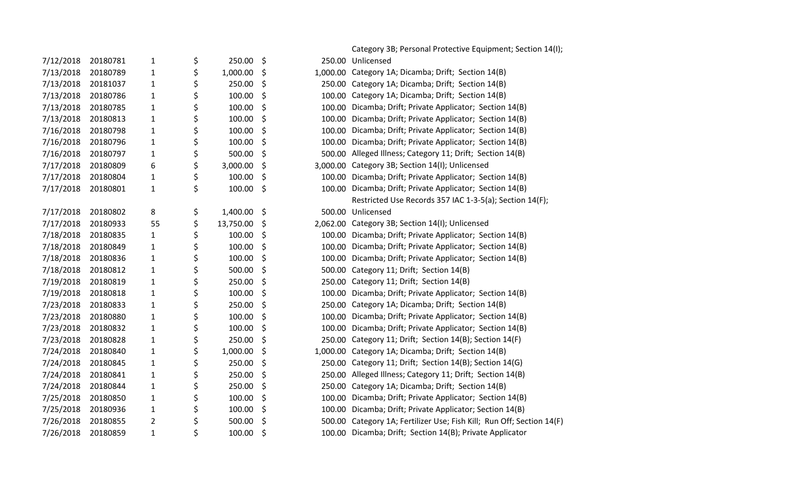|           |          |                |                 |              | Category 3B; Personal Protective Equipment; Section 14(I);            |
|-----------|----------|----------------|-----------------|--------------|-----------------------------------------------------------------------|
| 7/12/2018 | 20180781 | 1              | \$<br>250.00    | \$           | 250.00 Unlicensed                                                     |
| 7/13/2018 | 20180789 | $\mathbf{1}$   | \$<br>1,000.00  | \$           | 1,000.00 Category 1A; Dicamba; Drift; Section 14(B)                   |
| 7/13/2018 | 20181037 | $\mathbf{1}$   | \$<br>250.00    | \$           | 250.00 Category 1A; Dicamba; Drift; Section 14(B)                     |
| 7/13/2018 | 20180786 | $\mathbf{1}$   | \$<br>100.00    | \$           | 100.00 Category 1A; Dicamba; Drift; Section 14(B)                     |
| 7/13/2018 | 20180785 | $\mathbf{1}$   | \$<br>100.00    | \$<br>100.00 | Dicamba; Drift; Private Applicator; Section 14(B)                     |
| 7/13/2018 | 20180813 | $\mathbf{1}$   | \$<br>100.00    | \$<br>100.00 | Dicamba; Drift; Private Applicator; Section 14(B)                     |
| 7/16/2018 | 20180798 | $\mathbf{1}$   | \$<br>100.00    | \$<br>100.00 | Dicamba; Drift; Private Applicator; Section 14(B)                     |
| 7/16/2018 | 20180796 | $\mathbf{1}$   | \$<br>100.00    | \$<br>100.00 | Dicamba; Drift; Private Applicator; Section 14(B)                     |
| 7/16/2018 | 20180797 | $\mathbf{1}$   | \$<br>500.00    | \$           | 500.00 Alleged Illness; Category 11; Drift; Section 14(B)             |
| 7/17/2018 | 20180809 | 6              | \$<br>3,000.00  | \$           | 3,000.00 Category 3B; Section 14(I); Unlicensed                       |
| 7/17/2018 | 20180804 | $\mathbf{1}$   | \$<br>100.00    | \$           | 100.00 Dicamba; Drift; Private Applicator; Section 14(B)              |
| 7/17/2018 | 20180801 | $\mathbf{1}$   | \$<br>100.00    | \$           | 100.00 Dicamba; Drift; Private Applicator; Section 14(B)              |
|           |          |                |                 |              | Restricted Use Records 357 IAC 1-3-5(a); Section 14(F);               |
| 7/17/2018 | 20180802 | 8              | \$<br>1,400.00  | \$           | 500.00 Unlicensed                                                     |
| 7/17/2018 | 20180933 | 55             | \$<br>13,750.00 | \$           | 2,062.00 Category 3B; Section 14(I); Unlicensed                       |
| 7/18/2018 | 20180835 | $\mathbf{1}$   | \$<br>100.00    | \$           | 100.00 Dicamba; Drift; Private Applicator; Section 14(B)              |
| 7/18/2018 | 20180849 | $\mathbf{1}$   | \$<br>100.00    | \$<br>100.00 | Dicamba; Drift; Private Applicator; Section 14(B)                     |
| 7/18/2018 | 20180836 | $\mathbf{1}$   | \$<br>100.00    | \$           | 100.00 Dicamba; Drift; Private Applicator; Section 14(B)              |
| 7/18/2018 | 20180812 | 1              | \$<br>500.00    | \$           | 500.00 Category 11; Drift; Section 14(B)                              |
| 7/19/2018 | 20180819 | $\mathbf{1}$   | \$<br>250.00    | \$           | 250.00 Category 11; Drift; Section 14(B)                              |
| 7/19/2018 | 20180818 | $\mathbf{1}$   | \$<br>100.00    | \$           | 100.00 Dicamba; Drift; Private Applicator; Section 14(B)              |
| 7/23/2018 | 20180833 | $\mathbf{1}$   | \$<br>250.00    | \$           | 250.00 Category 1A; Dicamba; Drift; Section 14(B)                     |
| 7/23/2018 | 20180880 | $\mathbf{1}$   | \$<br>100.00    | \$           | 100.00 Dicamba; Drift; Private Applicator; Section 14(B)              |
| 7/23/2018 | 20180832 | $\mathbf{1}$   | \$<br>100.00    | \$<br>100.00 | Dicamba; Drift; Private Applicator; Section 14(B)                     |
| 7/23/2018 | 20180828 | $\mathbf{1}$   | \$<br>250.00    | \$<br>250.00 | Category 11; Drift; Section 14(B); Section 14(F)                      |
| 7/24/2018 | 20180840 | $\mathbf{1}$   | \$<br>1,000.00  | \$           | 1,000.00 Category 1A; Dicamba; Drift; Section 14(B)                   |
| 7/24/2018 | 20180845 | $\mathbf{1}$   | \$<br>250.00    | \$<br>250.00 | Category 11; Drift; Section 14(B); Section 14(G)                      |
| 7/24/2018 | 20180841 | $\mathbf{1}$   | \$<br>250.00    | \$<br>250.00 | Alleged Illness; Category 11; Drift; Section 14(B)                    |
| 7/24/2018 | 20180844 | $\mathbf{1}$   | \$<br>250.00    | \$           | 250.00 Category 1A; Dicamba; Drift; Section 14(B)                     |
| 7/25/2018 | 20180850 | $\mathbf{1}$   | \$<br>100.00    | \$<br>100.00 | Dicamba; Drift; Private Applicator; Section 14(B)                     |
| 7/25/2018 | 20180936 | 1              | \$<br>100.00    | \$           | 100.00 Dicamba; Drift; Private Applicator; Section 14(B)              |
| 7/26/2018 | 20180855 | $\overline{2}$ | \$<br>500.00    | \$           | 500.00 Category 1A; Fertilizer Use; Fish Kill; Run Off; Section 14(F) |
| 7/26/2018 | 20180859 | $\mathbf{1}$   | \$<br>100.00    | \$           | 100.00 Dicamba; Drift; Section 14(B); Private Applicator              |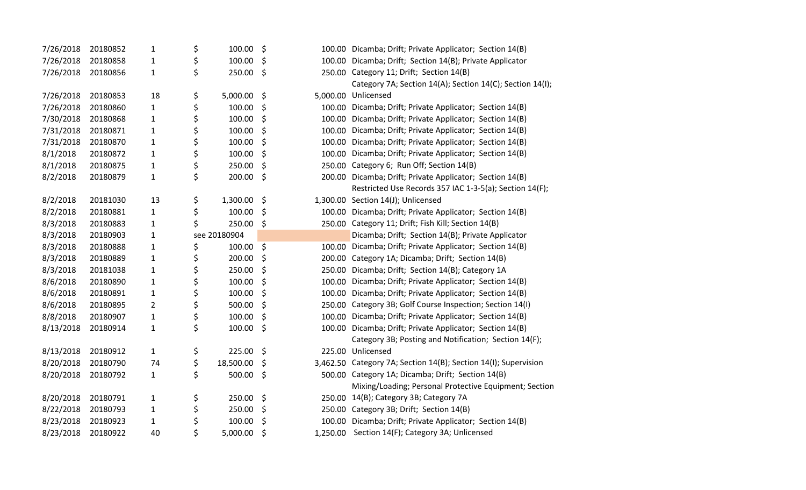| 7/26/2018 | 20180852 | $\mathbf{1}$   | \$<br>100.00    | \$      |        | 100.00 Dicamba; Drift; Private Applicator; Section 14(B)        |
|-----------|----------|----------------|-----------------|---------|--------|-----------------------------------------------------------------|
| 7/26/2018 | 20180858 | $\mathbf{1}$   | \$<br>100.00    | \$      |        | 100.00 Dicamba; Drift; Section 14(B); Private Applicator        |
| 7/26/2018 | 20180856 | $\mathbf{1}$   | \$<br>250.00    | \$      |        | 250.00 Category 11; Drift; Section 14(B)                        |
|           |          |                |                 |         |        | Category 7A; Section 14(A); Section 14(C); Section 14(I);       |
| 7/26/2018 | 20180853 | 18             | \$<br>5,000.00  | \$      |        | 5,000.00 Unlicensed                                             |
| 7/26/2018 | 20180860 | $\mathbf{1}$   | \$<br>100.00    | \$      |        | 100.00 Dicamba; Drift; Private Applicator; Section 14(B)        |
| 7/30/2018 | 20180868 | $\mathbf{1}$   | \$<br>100.00    | \$      |        | 100.00 Dicamba; Drift; Private Applicator; Section 14(B)        |
| 7/31/2018 | 20180871 | $\mathbf{1}$   | \$<br>100.00    | \$      | 100.00 | Dicamba; Drift; Private Applicator; Section 14(B)               |
| 7/31/2018 | 20180870 | $\mathbf{1}$   | \$<br>100.00    | \$      | 100.00 | Dicamba; Drift; Private Applicator; Section 14(B)               |
| 8/1/2018  | 20180872 | $\mathbf{1}$   | \$<br>100.00    | \$      | 100.00 | Dicamba; Drift; Private Applicator; Section 14(B)               |
| 8/1/2018  | 20180875 | $\mathbf{1}$   | \$<br>250.00    | \$      |        | 250.00 Category 6; Run Off; Section 14(B)                       |
| 8/2/2018  | 20180879 | $\mathbf 1$    | \$<br>200.00    | \$      |        | 200.00 Dicamba; Drift; Private Applicator; Section 14(B)        |
|           |          |                |                 |         |        | Restricted Use Records 357 IAC 1-3-5(a); Section 14(F);         |
| 8/2/2018  | 20181030 | 13             | \$<br>1,300.00  | \$      |        | 1,300.00 Section 14(J); Unlicensed                              |
| 8/2/2018  | 20180881 | $\mathbf{1}$   | \$<br>100.00    | \$      |        | 100.00 Dicamba; Drift; Private Applicator; Section 14(B)        |
| 8/3/2018  | 20180883 | $\mathbf{1}$   | \$<br>250.00    | \$      |        | 250.00 Category 11; Drift; Fish Kill; Section 14(B)             |
| 8/3/2018  | 20180903 | $\mathbf{1}$   | see 20180904    |         |        | Dicamba; Drift; Section 14(B); Private Applicator               |
| 8/3/2018  | 20180888 | $\mathbf{1}$   | \$<br>100.00    | $\zeta$ | 100.00 | Dicamba; Drift; Private Applicator; Section 14(B)               |
| 8/3/2018  | 20180889 | $\mathbf{1}$   | \$<br>200.00    | \$      |        | 200.00 Category 1A; Dicamba; Drift; Section 14(B)               |
| 8/3/2018  | 20181038 | $\mathbf{1}$   | \$<br>250.00    | \$      | 250.00 | Dicamba; Drift; Section 14(B); Category 1A                      |
| 8/6/2018  | 20180890 | $\mathbf{1}$   | \$<br>100.00    | \$      |        | 100.00 Dicamba; Drift; Private Applicator; Section 14(B)        |
| 8/6/2018  | 20180891 | $\mathbf{1}$   | \$<br>100.00    | \$      |        | 100.00 Dicamba; Drift; Private Applicator; Section 14(B)        |
| 8/6/2018  | 20180895 | $\overline{2}$ | \$<br>500.00    | \$      |        | 250.00 Category 3B; Golf Course Inspection; Section 14(I)       |
| 8/8/2018  | 20180907 | $\mathbf{1}$   | \$<br>100.00    | \$      | 100.00 | Dicamba; Drift; Private Applicator; Section 14(B)               |
| 8/13/2018 | 20180914 | $\mathbf{1}$   | \$<br>100.00    | \$      |        | 100.00 Dicamba; Drift; Private Applicator; Section 14(B)        |
|           |          |                |                 |         |        | Category 3B; Posting and Notification; Section 14(F);           |
| 8/13/2018 | 20180912 | $\mathbf{1}$   | \$<br>225.00    | \$      |        | 225.00 Unlicensed                                               |
| 8/20/2018 | 20180790 | 74             | \$<br>18,500.00 | \$      |        | 3,462.50 Category 7A; Section 14(B); Section 14(I); Supervision |
| 8/20/2018 | 20180792 | $\mathbf{1}$   | \$<br>500.00    | \$      |        | 500.00 Category 1A; Dicamba; Drift; Section 14(B)               |
|           |          |                |                 |         |        | Mixing/Loading; Personal Protective Equipment; Section          |
| 8/20/2018 | 20180791 | $\mathbf{1}$   | \$<br>250.00    | \$      |        | 250.00 14(B); Category 3B; Category 7A                          |
| 8/22/2018 | 20180793 | $\mathbf{1}$   | \$<br>250.00    | \$      |        | 250.00 Category 3B; Drift; Section 14(B)                        |
| 8/23/2018 | 20180923 | $\mathbf{1}$   | \$<br>100.00    | \$      |        | 100.00 Dicamba; Drift; Private Applicator; Section 14(B)        |
| 8/23/2018 | 20180922 | 40             | \$<br>5,000.00  | \$      |        | 1,250.00 Section 14(F); Category 3A; Unlicensed                 |